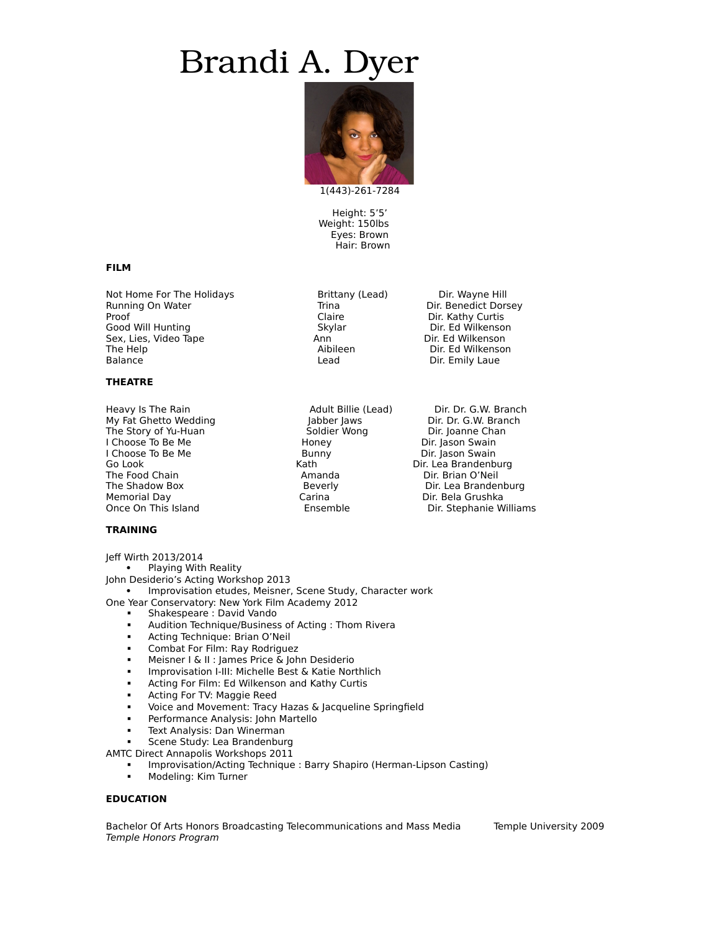# Brandi A. D



1(443)-261-7284

Height: 5'5' Weight: 150lbs Eyes: Brown Hair: Brown

#### **FILM**

Not Home For The Holidays **Brittany (Lead)** Dir. Wayne Hill<br>
Running On Water **Brittany Communisty** On Trina **Dir. Benedict Dors** Proof The Claire Clairs (Clairs Clairs Clairs Clairs Clairs Clairs Clairs Clairs Clairs Clairs Clairs Clairs C<br>Clairs Cood Will Hunting (Clairs Clairs Clairs Clairs Clairs Clairs Clairs Clairs Clairs Clairs Clairs Clairs<br>C Good Will Hunting The Skylar The Dir. Ed Wilkenson<br>Sex, Lies, Video Tape The Skylar The Dir. Ed Wilkenson Sex, Lies, Video Tape Ann Ann Dir. Ed Wilhelm Ann Dir. Ed Wilhelm Aibileen<br>The Help Aibileen The Help **The Help Aibileen** Dir. Ed Wilkenson<br>Balance **Direct Balance** Direct Lead Dir. Emily Laue

### **THEATRE**

My Fat Ghetto Wedding The Soldier Jabber Jaws Jabber Dir. Dr. G.W. Branch<br>The Story of Yu-Huan The Soldier Wong The Dir. Joanne Chan The Story of Yu-Huan Soldier Wong Dir. Joanne Chan I Choose To Be Me **I Choose To Be Me** Honey **Now To Be Dir. Jason Swain**<br>I Choose To Be Me **I Choose To Be Me** I Bunny **Dir. Jason Swain** I Choose To Be Me Bunny Direct Bunny Bunny Direct Bunny Bunny Direct Bunny Bunny Bunny Bunny Bunny Bunny Bunny Bunny Bunny Bunny Bunny Bunny Bunny Bunny Bunny Bunny Bunny Bunny Bunny Bunny Bunny Bunny Bunny Bunny Bunny Bun Go Look (Go Look Contact The Food Chain Contact The Food Chain Contact Aristotel Amanda Contact Dir. Brian O'Neil<br>The Food Chain Contact Amanda Contact Dir. Brian O'Neil Memorial Day Carina Dir. Bela Grushka

### **TRAINING**

- Jeff Wirth 2013/2014
	- Playing With Reality

John Desiderio's Acting Workshop 2013

 Improvisation etudes, Meisner, Scene Study, Character work One Year Conservatory: New York Film Academy 2012

- **Shakespeare: David Vando** 
	- Audition Technique/Business of Acting : Thom Rivera
- **-** Acting Technique: Brian O'Neil
- **EXECOMBAT For Film: Ray Rodriguez**
- **Meisner I & II : James Price & John Desiderio**<br>**Improvisation I-III: Michelle Best & Katie Nort**
- Improvisation I-III: Michelle Best & Katie Northlich
- **EXECT:** Acting For Film: Ed Wilkenson and Kathy Curtis
- **Acting For TV: Maggie Reed**
- Voice and Movement: Tracy Hazas & Jacqueline Springfield
- Performance Analysis: John Martello
- Text Analysis: Dan Winerman
- Scene Study: Lea Brandenburg
- AMTC Direct Annapolis Workshops 2011
	- Improvisation/Acting Technique : Barry Shapiro (Herman-Lipson Casting)
	- Modeling: Kim Turner

#### **EDUCATION**

Bachelor Of Arts Honors Broadcasting Telecommunications and Mass Media Temple University 2009 Temple Honors Program

Heavy Is The Rain and The Rain Adult Billie (Lead) Dir. Dr. G.W. Branch<br>My Fat Ghetto Wedding and My Fat Government Adult Billie (Lead) Dir. Dr. G.W. Branch The Food Chain Amanda Dir. Brian O'Neil The Shadow Box Beverly Dir. Lea Brandenburg Dir. Stephanie Williams

Trina Dir. Benedict Dorsey<br>Claire Dir. Kathy Curtis Dir. Emily Laue